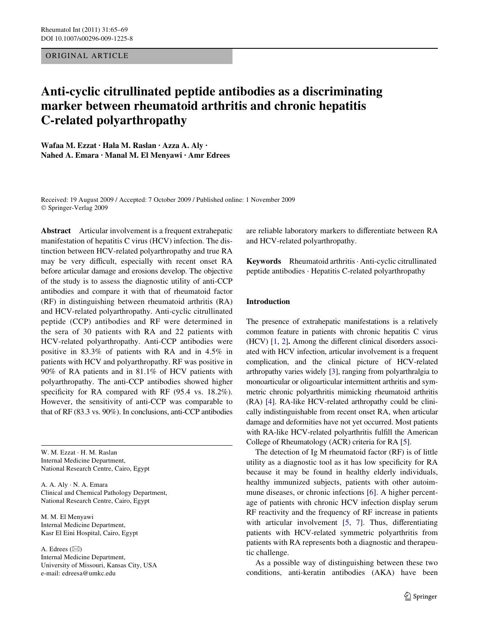# ORIGINAL ARTICLE

# **Anti-cyclic citrullinated peptide antibodies as a discriminating marker between rheumatoid arthritis and chronic hepatitis C-related polyarthropathy**

**Wafaa M. Ezzat · Hala M. Raslan · Azza A. Aly · Nahed A. Emara · Manal M. El Menyawi · Amr Edrees** 

Received: 19 August 2009 / Accepted: 7 October 2009 / Published online: 1 November 2009 © Springer-Verlag 2009

**Abstract** Articular involvement is a frequent extrahepatic manifestation of hepatitis C virus (HCV) infection. The distinction between HCV-related polyarthropathy and true RA may be very difficult, especially with recent onset RA before articular damage and erosions develop. The objective of the study is to assess the diagnostic utility of anti-CCP antibodies and compare it with that of rheumatoid factor (RF) in distinguishing between rheumatoid arthritis (RA) and HCV-related polyarthropathy. Anti-cyclic citrullinated peptide (CCP) antibodies and RF were determined in the sera of 30 patients with RA and 22 patients with HCV-related polyarthropathy. Anti-CCP antibodies were positive in 83.3% of patients with RA and in 4.5% in patients with HCV and polyarthropathy. RF was positive in 90% of RA patients and in 81.1% of HCV patients with polyarthropathy. The anti-CCP antibodies showed higher specificity for RA compared with RF  $(95.4 \text{ vs. } 18.2\%)$ . However, the sensitivity of anti-CCP was comparable to that of RF (83.3 vs. 90%). In conclusions, anti-CCP antibodies

W. M. Ezzat · H. M. Raslan Internal Medicine Department, National Research Centre, Cairo, Egypt

A. A. Aly · N. A. Emara Clinical and Chemical Pathology Department, National Research Centre, Cairo, Egypt

M. M. El Menyawi Internal Medicine Department, Kasr El Eini Hospital, Cairo, Egypt

A. Edrees  $(\boxtimes)$ Internal Medicine Department, University of Missouri, Kansas City, USA e-mail: edreesa@umkc.edu

are reliable laboratory markers to differentiate between RA and HCV-related polyarthropathy.

**Keywords** Rheumatoid arthritis · Anti-cyclic citrullinated peptide antibodies · Hepatitis C-related polyarthropathy

# **Introduction**

The presence of extrahepatic manifestations is a relatively common feature in patients with chronic hepatitis C virus  $(HCV)$   $[1, 2]$  $[1, 2]$  $[1, 2]$  $[1, 2]$  $[1, 2]$ . Among the different clinical disorders associated with HCV infection, articular involvement is a frequent complication, and the clinical picture of HCV-related arthropathy varies widely [\[3\]](#page-3-2), ranging from polyarthralgia to monoarticular or oligoarticular intermittent arthritis and symmetric chronic polyarthritis mimicking rheumatoid arthritis (RA) [\[4](#page-4-0)]. RA-like HCV-related arthropathy could be clinically indistinguishable from recent onset RA, when articular damage and deformities have not yet occurred. Most patients with RA-like HCV-related polyarthritis fulfill the American College of Rheumatology (ACR) criteria for RA [[5\]](#page-4-1).

The detection of Ig M rheumatoid factor (RF) is of little utility as a diagnostic tool as it has low specificity for RA because it may be found in healthy elderly individuals, healthy immunized subjects, patients with other autoimmune diseases, or chronic infections [\[6](#page-4-2)]. A higher percentage of patients with chronic HCV infection display serum RF reactivity and the frequency of RF increase in patients with articular involvement  $[5, 7]$  $[5, 7]$  $[5, 7]$  $[5, 7]$ . Thus, differentiating patients with HCV-related symmetric polyarthritis from patients with RA represents both a diagnostic and therapeutic challenge.

As a possible way of distinguishing between these two conditions, anti-keratin antibodies (AKA) have been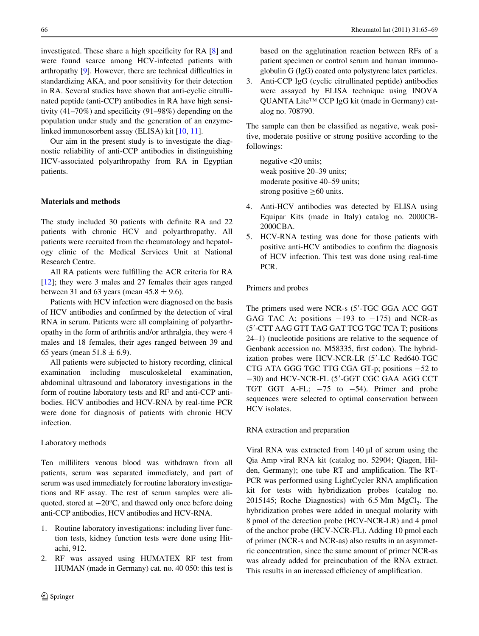investigated. These share a high specificity for RA  $[8]$  $[8]$  and were found scarce among HCV-infected patients with arthropathy  $[9]$  $[9]$ . However, there are technical difficulties in standardizing AKA, and poor sensitivity for their detection in RA. Several studies have shown that anti-cyclic citrullinated peptide (anti-CCP) antibodies in RA have high sensitivity  $(41-70\%)$  and specificity  $(91-98\%)$  depending on the population under study and the generation of an enzymelinked immunosorbent assay (ELISA) kit [[10,](#page-4-6) [11\]](#page-4-7).

Our aim in the present study is to investigate the diagnostic reliability of anti-CCP antibodies in distinguishing HCV-associated polyarthropathy from RA in Egyptian patients.

# **Materials and methods**

The study included 30 patients with definite RA and 22 patients with chronic HCV and polyarthropathy. All patients were recruited from the rheumatology and hepatology clinic of the Medical Services Unit at National Research Centre.

All RA patients were fulfilling the ACR criteria for RA [\[12](#page-4-8)]; they were 3 males and 27 females their ages ranged between 31 and 63 years (mean  $45.8 \pm 9.6$ ).

Patients with HCV infection were diagnosed on the basis of HCV antibodies and confirmed by the detection of viral RNA in serum. Patients were all complaining of polyarthropathy in the form of arthritis and/or arthralgia, they were 4 males and 18 females, their ages ranged between 39 and 65 years (mean  $51.8 \pm 6.9$ ).

All patients were subjected to history recording, clinical examination including musculoskeletal examination, abdominal ultrasound and laboratory investigations in the form of routine laboratory tests and RF and anti-CCP antibodies. HCV antibodies and HCV-RNA by real-time PCR were done for diagnosis of patients with chronic HCV infection.

#### Laboratory methods

Ten milliliters venous blood was withdrawn from all patients, serum was separated immediately, and part of serum was used immediately for routine laboratory investigations and RF assay. The rest of serum samples were aliquoted, stored at  $-20^{\circ}$ C, and thawed only once before doing anti-CCP antibodies, HCV antibodies and HCV-RNA.

- 1. Routine laboratory investigations: including liver function tests, kidney function tests were done using Hitachi, 912.
- 2. RF was assayed using HUMATEX RF test from HUMAN (made in Germany) cat. no. 40 050: this test is

based on the agglutination reaction between RFs of a patient specimen or control serum and human immunoglobulin G (IgG) coated onto polystyrene latex particles.

3. Anti-CCP IgG (cyclic citrullinated peptide) antibodies were assayed by ELISA technique using INOVA QUANTA Lite™ CCP IgG kit (made in Germany) catalog no. 708790.

The sample can then be classified as negative, weak positive, moderate positive or strong positive according to the followings:

negative <20 units; weak positive 20–39 units; moderate positive 40–59 units; strong positive  $\geq 60$  units.

- 4. Anti-HCV antibodies was detected by ELISA using Equipar Kits (made in Italy) catalog no. 2000CB-2000CBA.
- 5. HCV-RNA testing was done for those patients with positive anti-HCV antibodies to confirm the diagnosis of HCV infection. This test was done using real-time PCR.

# Primers and probes

The primers used were NCR-s (5'-TGC GGA ACC GGT GAG TAC A; positions  $-193$  to  $-175$ ) and NCR-as (5--CTT AAG GTT TAG GAT TCG TGC TCA T; positions 24–1) (nucleotide positions are relative to the sequence of Genbank accession no. M58335, first codon). The hybridization probes were HCV-NCR-LR (5'-LC Red640-TGC CTG ATA GGG TGC TTG CGA GT-p; positions  $-52$  to -30) and HCV-NCR-FL (5'-GGT CGC GAA AGG CCT TGT GGT A-FL;  $-75$  to  $-54$ ). Primer and probe sequences were selected to optimal conservation between HCV isolates.

RNA extraction and preparation

Viral RNA was extracted from  $140 \mu l$  of serum using the Qia Amp viral RNA kit (catalog no. 52904; Qiagen, Hilden, Germany); one tube RT and amplification. The RT-PCR was performed using LightCycler RNA amplification kit for tests with hybridization probes (catalog no.  $2015145$ ; Roche Diagnostics) with 6.5 Mm MgCl<sub>2</sub>. The hybridization probes were added in unequal molarity with 8 pmol of the detection probe (HCV-NCR-LR) and 4 pmol of the anchor probe (HCV-NCR-FL). Adding 10 pmol each of primer (NCR-s and NCR-as) also results in an asymmetric concentration, since the same amount of primer NCR-as was already added for preincubation of the RNA extract. This results in an increased efficiency of amplification.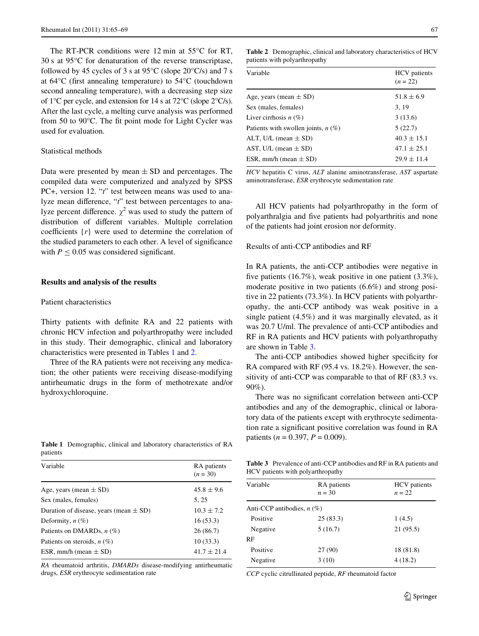The RT-PCR conditions were 12 min at 55°C for RT, 30 s at 95°C for denaturation of the reverse transcriptase, followed by 45 cycles of 3 s at  $95^{\circ}$ C (slope  $20^{\circ}$ C/s) and 7 s at  $64^{\circ}$ C (first annealing temperature) to  $54^{\circ}$ C (touchdown second annealing temperature), with a decreasing step size of 1°C per cycle, and extension for 14 s at 72°C (slope 2°C/s). After the last cycle, a melting curve analysis was performed from 50 to 90 $^{\circ}$ C. The fit point mode for Light Cycler was used for evaluation.

### Statistical methods

Data were presented by mean  $\pm$  SD and percentages. The compiled data were computerized and analyzed by SPSS PC+, version 12. "*t*" test between means was used to analyze mean difference, "*t*" test between percentages to analyze percent difference.  $\chi^2$  was used to study the pattern of distribution of different variables. Multiple correlation coefficients  $\{r\}$  were used to determine the correlation of the studied parameters to each other. A level of significance with  $P \leq 0.05$  was considered significant.

#### **Results and analysis of the results**

#### Patient characteristics

patients

Thirty patients with definite RA and 22 patients with chronic HCV infection and polyarthropathy were included in this study. Their demographic, clinical and laboratory characteristics were presented in Tables [1](#page-2-0) and [2](#page-2-1).

Three of the RA patients were not receiving any medication; the other patients were receiving disease-modifying antirheumatic drugs in the form of methotrexate and/or hydroxychloroquine.

<span id="page-2-1"></span>**Table 2** Demographic, clinical and laboratory characteristics of HCV patients with polyarthropathy

| <b>HCV</b> patients<br>$(n = 22)$ |
|-----------------------------------|
| $51.8 \pm 6.9$                    |
| 3, 19                             |
| 3(13.6)                           |
| 5(22.7)                           |
| $40.3 \pm 15.1$                   |
| $47.1 \pm 25.1$                   |
| $29.9 \pm 11.4$                   |
|                                   |

*HCV* hepatitis C virus, *ALT* alanine aminotransferase, *AST* aspartate aminotransferase, *ESR* erythrocyte sedimentation rate

All HCV patients had polyarthropathy in the form of polyarthralgia and five patients had polyarthritis and none of the patients had joint erosion nor deformity.

Results of anti-CCP antibodies and RF

In RA patients, the anti-CCP antibodies were negative in five patients (16.7%), weak positive in one patient (3.3%), moderate positive in two patients (6.6%) and strong positive in 22 patients (73.3%). In HCV patients with polyarthropathy, the anti-CCP antibody was weak positive in a single patient (4.5%) and it was marginally elevated, as it was 20.7 U/ml. The prevalence of anti-CCP antibodies and RF in RA patients and HCV patients with polyarthropathy are shown in Table [3.](#page-2-2)

The anti-CCP antibodies showed higher specificity for RA compared with RF (95.4 vs. 18.2%). However, the sensitivity of anti-CCP was comparable to that of RF (83.3 vs. 90%).

There was no significant correlation between anti-CCP antibodies and any of the demographic, clinical or laboratory data of the patients except with erythrocyte sedimentation rate a significant positive correlation was found in RA patients ( $n = 0.397$ ,  $P = 0.009$ ).

| Variable                                   | RA patients<br>$(n = 30)$ |
|--------------------------------------------|---------------------------|
| Age, years (mean $\pm$ SD)                 | $45.8 \pm 9.6$            |
| Sex (males, females)                       | 5, 25                     |
| Duration of disease, years (mean $\pm$ SD) | $10.3 \pm 7.2$            |
| Deformity, $n(\%)$                         | 16(53.3)                  |
| Patients on DMARDs, $n$ (%)                | 26(86.7)                  |
| Patients on steroids, $n(\%)$              | 10(33.3)                  |
| ESR, mm/h (mean $\pm$ SD)                  | $41.7 \pm 21.4$           |

<span id="page-2-0"></span>**Table 1** Demographic, clinical and laboratory characteristics of RA

*RA* rheumatoid arthritis, *DMARDs* disease-modifying antirheumatic drugs, *ESR* erythrocyte sedimentation rate

<span id="page-2-2"></span>**Table 3** Prevalence of anti-CCP antibodies and RF in RA patients and HCV patients with polyarthropathy

| Variable                     | RA patients<br>$n = 30$ | <b>HCV</b> patients<br>$n = 22$ |  |
|------------------------------|-------------------------|---------------------------------|--|
| Anti-CCP antibodies, $n$ (%) |                         |                                 |  |
| Positive                     | 25(83.3)                | 1(4.5)                          |  |
| Negative                     | 5(16.7)                 | 21 (95.5)                       |  |
| RF                           |                         |                                 |  |
| Positive                     | 27 (90)                 | 18 (81.8)                       |  |
| Negative                     | 3(10)                   | 4(18.2)                         |  |
|                              |                         |                                 |  |

*CCP* cyclic citrullinated peptide, *RF* rheumatoid factor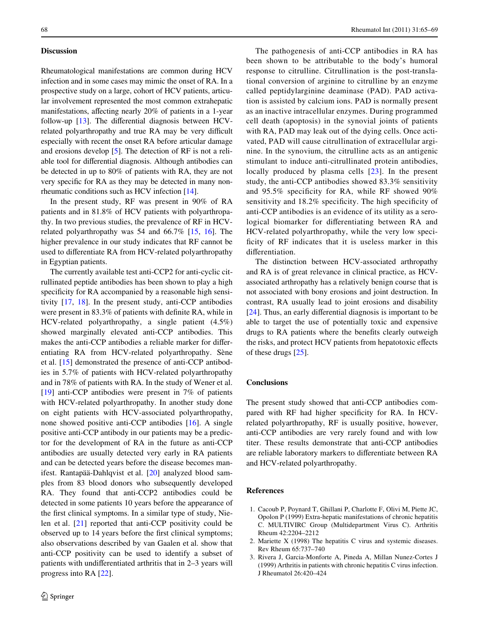#### **Discussion**

Rheumatological manifestations are common during HCV infection and in some cases may mimic the onset of RA. In a prospective study on a large, cohort of HCV patients, articular involvement represented the most common extrahepatic manifestations, affecting nearly 20% of patients in a 1-year follow-up  $[13]$  $[13]$ . The differential diagnosis between HCVrelated polyarthropathy and true RA may be very difficult especially with recent the onset RA before articular damage and erosions develop [[5\]](#page-4-1). The detection of RF is not a reliable tool for differential diagnosis. Although antibodies can be detected in up to 80% of patients with RA, they are not very specific for RA as they may be detected in many nonrheumatic conditions such as HCV infection [\[14](#page-4-10)].

In the present study, RF was present in 90% of RA patients and in 81.8% of HCV patients with polyarthropathy. In two previous studies, the prevalence of RF in HCVrelated polyarthropathy was 54 and 66.7% [[15,](#page-4-11) [16\]](#page-4-12). The higher prevalence in our study indicates that RF cannot be used to differentiate RA from HCV-related polyarthropathy in Egyptian patients.

The currently available test anti-CCP2 for anti-cyclic citrullinated peptide antibodies has been shown to play a high specificity for RA accompanied by a reasonable high sensitivity [[17,](#page-4-13) [18](#page-4-14)]. In the present study, anti-CCP antibodies were present in 83.3% of patients with definite RA, while in HCV-related polyarthropathy, a single patient (4.5%) showed marginally elevated anti-CCP antibodies. This makes the anti-CCP antibodies a reliable marker for differentiating RA from HCV-related polyarthropathy. Sène et al. [[15\]](#page-4-11) demonstrated the presence of anti-CCP antibodies in 5.7% of patients with HCV-related polyarthropathy and in 78% of patients with RA. In the study of Wener et al. [\[19](#page-4-15)] anti-CCP antibodies were present in 7% of patients with HCV-related polyarthropathy. In another study done on eight patients with HCV-associated polyarthropathy, none showed positive anti-CCP antibodies [\[16](#page-4-12)]. A single positive anti-CCP antibody in our patients may be a predictor for the development of RA in the future as anti-CCP antibodies are usually detected very early in RA patients and can be detected years before the disease becomes manifest. Rantapää-Dahlqvist et al. [[20](#page-4-16)] analyzed blood samples from 83 blood donors who subsequently developed RA. They found that anti-CCP2 antibodies could be detected in some patients 10 years before the appearance of the first clinical symptoms. In a similar type of study, Nielen et al. [[21\]](#page-4-17) reported that anti-CCP positivity could be observed up to 14 years before the first clinical symptoms; also observations described by van Gaalen et al. show that anti-CCP positivity can be used to identify a subset of patients with undifferentiated arthritis that in  $2-3$  years will progress into RA [\[22](#page-4-18)].

The pathogenesis of anti-CCP antibodies in RA has been shown to be attributable to the body's humoral response to citrulline. Citrullination is the post-translational conversion of arginine to citrulline by an enzyme called peptidylarginine deaminase (PAD). PAD activation is assisted by calcium ions. PAD is normally present as an inactive intracellular enzymes. During programmed cell death (apoptosis) in the synovial joints of patients with RA, PAD may leak out of the dying cells. Once activated, PAD will cause citrullination of extracellular arginine. In the synovium, the citrulline acts as an antigenic stimulant to induce anti-citrullinated protein antibodies, locally produced by plasma cells [[23](#page-4-19)]. In the present study, the anti-CCP antibodies showed 83.3% sensitivity and  $95.5\%$  specificity for RA, while RF showed  $90\%$ sensitivity and 18.2% specificity. The high specificity of anti-CCP antibodies is an evidence of its utility as a serological biomarker for differentiating between RA and HCV-related polyarthropathy, while the very low specificity of RF indicates that it is useless marker in this differentiation.

The distinction between HCV-associated arthropathy and RA is of great relevance in clinical practice, as HCVassociated arthropathy has a relatively benign course that is not associated with bony erosions and joint destruction. In contrast, RA usually lead to joint erosions and disability  $[24]$  $[24]$ . Thus, an early differential diagnosis is important to be able to target the use of potentially toxic and expensive drugs to RA patients where the benefits clearly outweigh the risks, and protect HCV patients from hepatotoxic effects of these drugs [[25](#page-4-21)].

## **Conclusions**

The present study showed that anti-CCP antibodies compared with RF had higher specificity for RA. In HCVrelated polyarthropathy, RF is usually positive, however, anti-CCP antibodies are very rarely found and with low titer. These results demonstrate that anti-CCP antibodies are reliable laboratory markers to differentiate between RA and HCV-related polyarthropathy.

# **References**

- <span id="page-3-0"></span>1. Cacoub P, Poynard T, Ghillani P, Charlotte F, Olivi M, Piette JC, Opolon P (1999) Extra-hepatic manifestations of chronic hepatitis C. MULTIVIRC Group (Multidepartment Virus C). Arthritis Rheum 42:2204–2212
- <span id="page-3-1"></span>2. Mariette X (1998) The hepatitis C virus and systemic diseases. Rev Rheum 65:737–740
- <span id="page-3-2"></span>3. Rivera J, Garcia-Monforte A, Pineda A, Millan Nunez-Cortes J (1999) Arthritis in patients with chronic hepatitis C virus infection. J Rheumatol 26:420–424